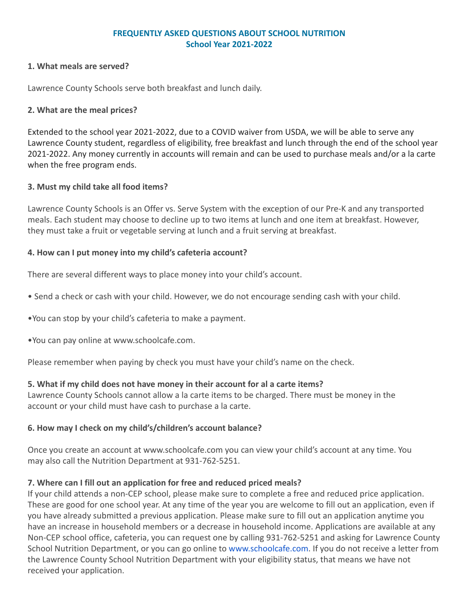### **FREQUENTLY ASKED QUESTIONS ABOUT SCHOOL NUTRITION School Year 2021-2022**

#### **1. What meals are served?**

Lawrence County Schools serve both breakfast and lunch daily.

#### **2. What are the meal prices?**

Extended to the school year 2021-2022, due to a COVID waiver from USDA, we will be able to serve any Lawrence County student, regardless of eligibility, free breakfast and lunch through the end of the school year 2021-2022. Any money currently in accounts will remain and can be used to purchase meals and/or a la carte when the free program ends.

### **3. Must my child take all food items?**

Lawrence County Schools is an Offer vs. Serve System with the exception of our Pre-K and any transported meals. Each student may choose to decline up to two items at lunch and one item at breakfast. However, they must take a fruit or vegetable serving at lunch and a fruit serving at breakfast.

### **4. How can I put money into my child's cafeteria account?**

There are several different ways to place money into your child's account.

• Send a check or cash with your child. However, we do not encourage sending cash with your child.

•You can stop by your child's cafeteria to make a payment.

•You can pay online at www.schoolcafe.com.

Please remember when paying by check you must have your child's name on the check.

# **5. What if my child does not have money in their account for al a carte items?**

Lawrence County Schools cannot allow a la carte items to be charged. There must be money in the account or your child must have cash to purchase a la carte.

# **6. How may I check on my child's/children's account balance?**

Once you create an account at www.schoolcafe.com you can view your child's account at any time. You may also call the Nutrition Department at 931-762-5251.

# **7. Where can I fill out an application for free and reduced priced meals?**

If your child attends a non-CEP school, please make sure to complete a free and reduced price application. These are good for one school year. At any time of the year you are welcome to fill out an application, even if you have already submitted a previous application. Please make sure to fill out an application anytime you have an increase in household members or a decrease in household income. Applications are available at any Non-CEP school office, cafeteria, you can request one by calling 931-762-5251 and asking for Lawrence County School Nutrition Department, or you can go online to www.schoolcafe.com. If you do not receive a letter from the Lawrence County School Nutrition Department with your eligibility status, that means we have not received your application.